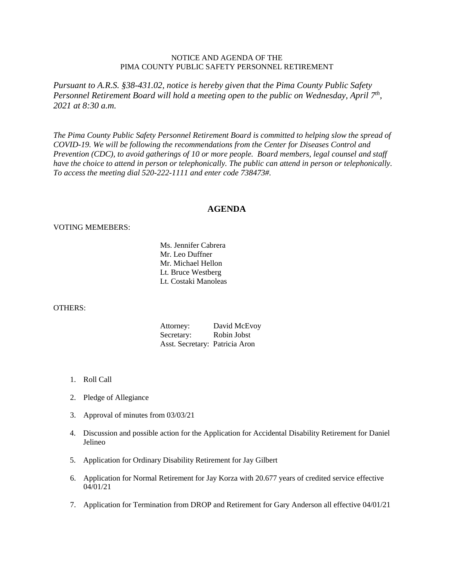## NOTICE AND AGENDA OF THE PIMA COUNTY PUBLIC SAFETY PERSONNEL RETIREMENT

*Pursuant to A.R.S. §38-431.02, notice is hereby given that the Pima County Public Safety Personnel Retirement Board will hold a meeting open to the public on Wednesday, April 7th, 2021 at 8:30 a.m.*

*The Pima County Public Safety Personnel Retirement Board is committed to helping slow the spread of COVID-19. We will be following the recommendations from the Center for Diseases Control and Prevention (CDC), to avoid gatherings of 10 or more people. Board members, legal counsel and staff have the choice to attend in person or telephonically. The public can attend in person or telephonically. To access the meeting dial 520-222-1111 and enter code 738473#.*

## **AGENDA**

## VOTING MEMEBERS:

Ms. Jennifer Cabrera Mr. Leo Duffner Mr. Michael Hellon Lt. Bruce Westberg Lt. Costaki Manoleas

## OTHERS:

| Attorney:                      | David McEvoy |
|--------------------------------|--------------|
| Secretary:                     | Robin Jobst  |
| Asst. Secretary: Patricia Aron |              |

- 1. Roll Call
- 2. Pledge of Allegiance
- 3. Approval of minutes from 03/03/21
- 4. Discussion and possible action for the Application for Accidental Disability Retirement for Daniel Jelineo
- 5. Application for Ordinary Disability Retirement for Jay Gilbert
- 6. Application for Normal Retirement for Jay Korza with 20.677 years of credited service effective 04/01/21
- 7. Application for Termination from DROP and Retirement for Gary Anderson all effective 04/01/21